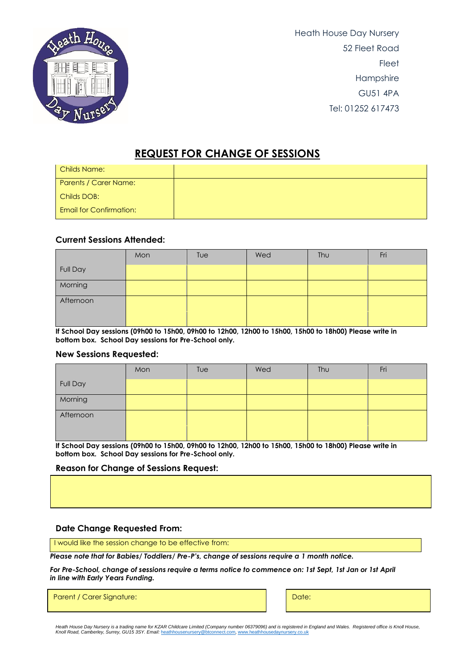

Heath House Day Nursery 52 Fleet Road **Fleet** Hampshire GU51 4PA Tel: 01252 617473

# **REQUEST FOR CHANGE OF SESSIONS**

| <b>Childs Name:</b>            |  |
|--------------------------------|--|
| Parents / Carer Name:          |  |
| Childs DOB:                    |  |
| <b>Email for Confirmation:</b> |  |

### **Current Sessions Attended:**

|           | Mon | Tue | Wed | Thu | Fri |
|-----------|-----|-----|-----|-----|-----|
| Full Day  |     |     |     |     |     |
| Morning   |     |     |     |     |     |
| Afternoon |     |     |     |     |     |
|           |     |     |     |     |     |

**If School Day sessions (09h00 to 15h00, 09h00 to 12h00, 12h00 to 15h00, 15h00 to 18h00) Please write in bottom box. School Day sessions for Pre-School only.**

#### **New Sessions Requested:**

|           | Mon | Tue | Wed | <b>Thu</b> | Fri |
|-----------|-----|-----|-----|------------|-----|
| Full Day  |     |     |     |            |     |
| Morning   |     |     |     |            |     |
| Afternoon |     |     |     |            |     |
|           |     |     |     |            |     |

**If School Day sessions (09h00 to 15h00, 09h00 to 12h00, 12h00 to 15h00, 15h00 to 18h00) Please write in bottom box. School Day sessions for Pre-School only.**

#### **Reason for Change of Sessions Request:**

#### **Date Change Requested From:**

I would like the session change to be effective from:

*Please note that for Babies/ Toddlers/ Pre-P's, change of sessions require a 1 month notice.* 

*For Pre-School, change of sessions require a terms notice to commence on: 1st Sept, 1st Jan or 1st April in line with Early Years Funding.*

Parent / Carer Signature: Date: Date: Date: Date: Date: Date: Date: Date: Date: Date: Date: Date: Date: Date: Date: Date: Date: Date: Date: Date: Date: Date: Date: Date: Date: Date: Date: Date: Date: Date: Date: Date: Date